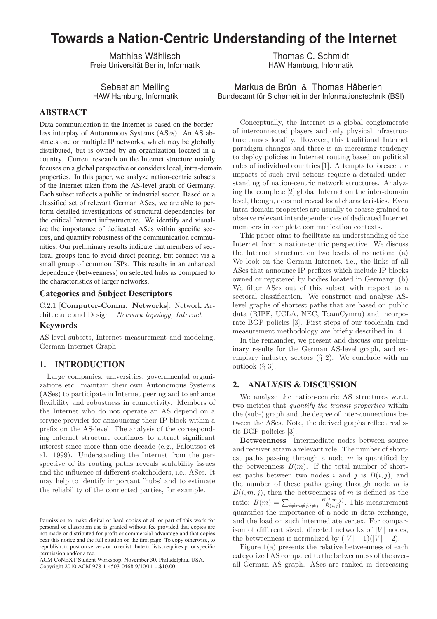# **Towards a Nation-Centric Understanding of the Internet**

Matthias Wählisch Freie Universität Berlin, Informatik

Sebastian Meiling HAW Hamburg, Informatik

# ABSTRACT

Data communication in the Internet is based on the borderless interplay of Autonomous Systems (ASes). An AS abstracts one or multiple IP networks, which may be globally distributed, but is owned by an organization located in a country. Current research on the Internet structure mainly focuses on a global perspective or considers local, intra-domain properties. In this paper, we analyze nation-centric subsets of the Internet taken from the AS-level graph of Germany. Each subset reflects a public or industrial sector. Based on a classified set of relevant German ASes, we are able to perform detailed investigations of structural dependencies for the critical Internet infrastructure. We identify and visualize the importance of dedicated ASes within specific sectors, and quantify robustness of the communication communities. Our preliminary results indicate that members of sectoral groups tend to avoid direct peering, but connect via a small group of common ISPs. This results in an enhanced dependence (betweenness) on selected hubs as compared to the characteristics of larger networks.

## Categories and Subject Descriptors

C.2.1 [Computer-Comm. Networks]: Network Architecture and Design—Network topology, Internet

## Keywords

AS-level subsets, Internet measurement and modeling, German Internet Graph

#### 1. INTRODUCTION

Large companies, universities, governmental organizations etc. maintain their own Autonomous Systems (ASes) to participate in Internet peering and to enhance flexibility and robustness in connectivity. Members of the Internet who do not operate an AS depend on a service provider for announcing their IP-block within a prefix on the AS-level. The analysis of the corresponding Internet structure continues to attract significant interest since more than one decade (e.g., Faloutsos et al. 1999). Understanding the Internet from the perspective of its routing paths reveals scalability issues and the influence of different stakeholders, i.e., ASes. It may help to identify important 'hubs' and to estimate the reliability of the connected parties, for example.

ACM CoNEXT Student Workshop, November 30, Philadelphia, USA.

Thomas C. Schmidt HAW Hamburg, Informatik

Markus de Brün & Thomas Häberlen Bundesamt für Sicherheit in der Informationstechnik (BSI)

Conceptually, the Internet is a global conglomerate of interconnected players and only physical infrastructure causes locality. However, this traditional Internet paradigm changes and there is an increasing tendency to deploy policies in Internet routing based on political rules of individual countries [1]. Attempts to foresee the impacts of such civil actions require a detailed understanding of nation-centric network structures. Analyzing the complete [2] global Internet on the inter-domain level, though, does not reveal local characteristics. Even intra-domain properties are usually to coarse-grained to observe relevant interdependencies of dedicated Internet members in complete communication contexts.

This paper aims to facilitate an understanding of the Internet from a nation-centric perspective. We discuss the Internet structure on two levels of reduction: (a) We look on the German Internet, i.e., the links of all ASes that announce IP prefixes which include IP blocks owned or registered by bodies located in Germany. (b) We filter ASes out of this subset with respect to a sectoral classification. We construct and analyse ASlevel graphs of shortest paths that are based on public data (RIPE, UCLA, NEC, TeamCymru) and incorporate BGP policies [3]. First steps of our toolchain and measurement methodology are briefly described in [4].

In the remainder, we present and discuss our preliminary results for the German AS-level graph, and exemplary industry sectors  $(\S 2)$ . We conclude with an outlook  $(\S 3)$ .

## 2. ANALYSIS & DISCUSSION

We analyze the nation-centric AS structures w.r.t. two metrics that quantify the transit properties within the (sub-) graph and the degree of inter-connections between the ASes. Note, the derived graphs reflect realistic BGP-policies [3].

Betweenness Intermediate nodes between source and receiver attain a relevant role. The number of shortest paths passing through a node  $m$  is quantified by the betweenness  $B(m)$ . If the total number of shortest paths between two nodes i and j is  $B(i, j)$ , and the number of these paths going through node  $m$  is  $B(i, m, j)$ , then the betweenness of m is defined as the ratio:  $B(m) = \sum_{i \neq m \neq j, i \neq j} \frac{B(i,m,j)}{B(i,j)}$ . This measurement quantifies the importance of a node in data exchange, and the load on such intermediate vertex. For comparison of different sized, directed networks of  $|V|$  nodes, the betweenness is normalized by  $(|V| - 1)(|V| - 2)$ .

Figure  $1(a)$  presents the relative betweenness of each categorized AS compared to the betweenness of the overall German AS graph. ASes are ranked in decreasing

Permission to make digital or hard copies of all or part of this work for personal or classroom use is granted without fee provided that copies are not made or distributed for profit or commercial advantage and that copies bear this notice and the full citation on the first page. To copy otherwise, to republish, to post on servers or to redistribute to lists, requires prior specific permission and/or a fee.

Copyright 2010 ACM 978-1-4503-0468-9/10/11 ...\$10.00.